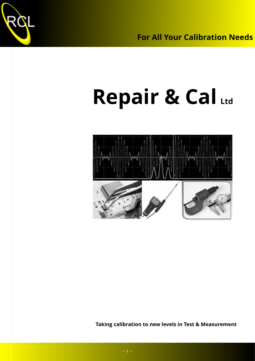

# **Repair & Cal Ltd**



**Taking calibration to new levels in Test & Measurement**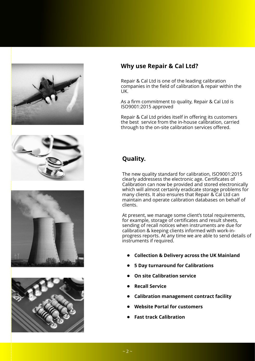

### **Why use Repair & Cal Ltd?**

Repair & Cal Ltd is one of the leading calibration companies in the field of calibration & repair within the UK.

As a firm commitment to quality, Repair & Cal Ltd is ISO9001:2015 approved

Repair & Cal Ltd prides itself in offering its customers the best service from the in-house calibration, carried through to the on-site calibration services offered.

## **Quality.**

The new quality standard for calibration, ISO9001:2015 clearly addressess the electronic age. Certificates of Calibration can now be provided and stored electronically which will almost certainly eradicate storage problems for many clients. It also ensures that Repair & Cal Ltd can maintain and operate calibration databases on behalf of clients.

At present, we manage some client's total requirements, for example, storage of certificates and result sheets, sending of recall notices when instruments are due for calibration & keeping clients informed with work-inprogress reports. At any time we are able to send details of instruments if required.

- **• Collection & Delivery across the UK Mainland**
- **• 5 Day turnaround for Calibrations**
- **• On site Calibration service**
- **• Recall Service**
- **• Calibration management contract facility**
- **• Website Portal for customers**
- **• Fast track Calibration**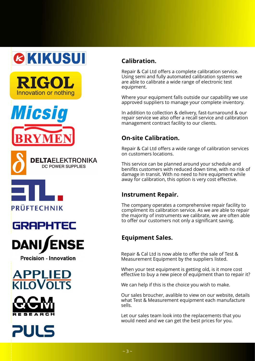# **GKIKUSUI**











**Precision - Innovation** 







# **Calibration.**

Repair & Cal Ltd offers a complete calibration service. Using semi and fully automated calibration systems we are able to calibrate a wide range of electronic test equipment.

Where your equipment falls outside our capability we use approved suppliers to manage your complete inventory.

In addition to collection & delivery, fast-turnaround & our repair service we also offer a recall service and calibration management contract facility to our clients.

#### **On-site Calibration.**

Repair & Cal Ltd offers a wide range of calibration services on customers locations.

This service can be planned around your schedule and benifits customers with reduced down time, with no risk of damage in transit. With no need to hire equipment while away for calibration, this option is very cost effective.

#### **Instrument Repair.**

The company operates a comprehensive repair facility to compliment its calibration service. As we are able to repair the majority of instruments we calibrate, we are often able to offer our customers not only a significant saving.

### **Equipment Sales.**

Repair & Cal Ltd is now able to offer the sale of Test & Measurement Equipment by the suppliers listed.

When your test equipment is getting old, is it more cost effective to buy a new piece of equipment than to repair it?

We can help if this is the choice you wish to make.

Our sales broucher, avalible to view on our website, details what Test & Measurement equipment each manufacture sells.

Let our sales team look into the replacements that you would need and we can get the best prices for you.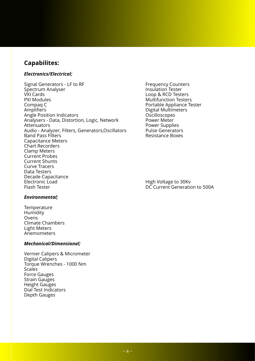#### **Capabilites:**

#### *Electronics/Electrical;*

Signal Generators - LF to RF<br>
Spectrum Analyser<br>
Spectrum Analyser Spectrum Analyser<br>VXI Cards VXI Cards The Communication of the Communication Communication Communication Communication Communication Communication Communication Communication Communication Communication Communication Communication Communication Commu Compaq C<br>
Amplifiers
Amplifiers
2011<br>
Amplifiers
2012<br>
Portable Appliance Tester<br>
Digital Multimeters Angle Position Indicators<br>Analysers - Data, Distortion, Logic, Network Power Meter Analysers - Data, Distortion, Logic, Network<br>Attenuators Audio - Analyzer, Filters, Generators,Oscillators Pulse Generators<br>Band Pass Filters Pulses Boxes **Band Pass Filters** Capacitance Meters Chart Recorders Clamp Meters Current Probes Current Shunts Curve Tracers Data Testers Decade Capacitance<br>Electronic Load Electronic Load High Voltage to 30Kv

**Multifunction Testers** Digital Multimeters<br>Oscilloscopes Power Supplies<br>Pulse Generators

DC Current Generation to 500A

#### *Environmental;*

**Temperature** Humidity Ovens Climate Chambers Light Meters Anemometers

#### *Mechanical/Dimensional;*

Vernier Calipers & Micrometer Digital Calipers Torque Wrenches - 1000 Nm **Scales** Force Gauges Strain Gauges Height Gauges Dial Test Indicators Depth Gauges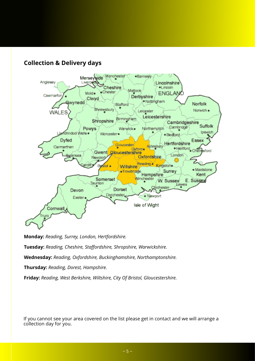



**Monday:** *Reading, Surrey, London, Hertfordshire.*

**Tuesday:** *Reading, Cheshire, Staffordshire, Shropshire, Warwickshire.*

**Wednesday:** *Reading, Oxfordshire, Buckinghamshire, Northamptonshire.*

**Thursday:** *Reading, Dorest, Hampshire.*

**Friday:** *Reading, West Berkshire, Wiltshire, City Of Bristol, Gloucestershire.*

If you cannot see your area covered on the list please get in contact and we will arrange a collection day for you.